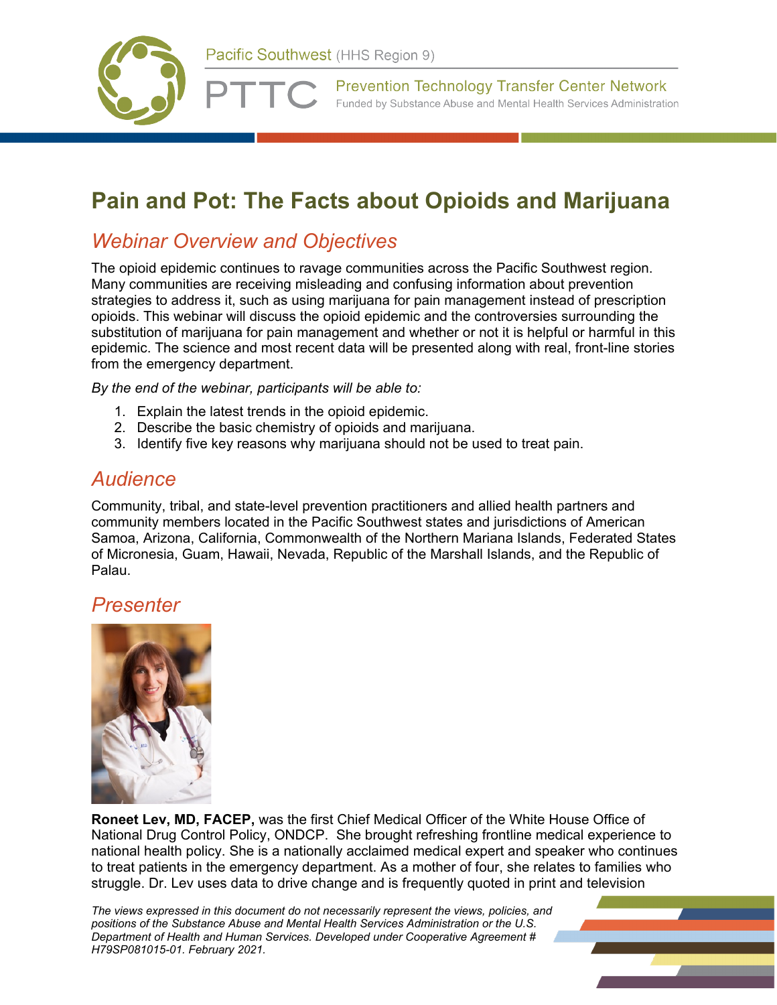



**Prevention Technology Transfer Center Network** Funded by Substance Abuse and Mental Health Services Administration

# **Pain and Pot: The Facts about Opioids and Marijuana**

## *Webinar Overview and Objectives*

The opioid epidemic continues to ravage communities across the Pacific Southwest region. Many communities are receiving misleading and confusing information about prevention strategies to address it, such as using marijuana for pain management instead of prescription opioids. This webinar will discuss the opioid epidemic and the controversies surrounding the substitution of marijuana for pain management and whether or not it is helpful or harmful in this epidemic. The science and most recent data will be presented along with real, front-line stories from the emergency department.

*By the end of the webinar, participants will be able to:*

- 1. Explain the latest trends in the opioid epidemic.
- 2. Describe the basic chemistry of opioids and marijuana.
- 3. Identify five key reasons why marijuana should not be used to treat pain.

#### *Audience*

Community, tribal, and state-level prevention practitioners and allied health partners and community members located in the Pacific Southwest states and jurisdictions of American Samoa, Arizona, California, Commonwealth of the Northern Mariana Islands, Federated States of Micronesia, Guam, Hawaii, Nevada, Republic of the Marshall Islands, and the Republic of Palau.

#### *Presenter*



**Roneet Lev, MD, FACEP,** was the first Chief Medical Officer of the White House Office of National Drug Control Policy, ONDCP. She brought refreshing frontline medical experience to national health policy. She is a nationally acclaimed medical expert and speaker who continues to treat patients in the emergency department. As a mother of four, she relates to families who struggle. Dr. Lev uses data to drive change and is frequently quoted in print and television

*The views expressed in this document do not necessarily represent the views, policies, and positions of the Substance Abuse and Mental Health Services Administration or the U.S. Department of Health and Human Services. Developed under Cooperative Agreement # H79SP081015-01. February 2021.*